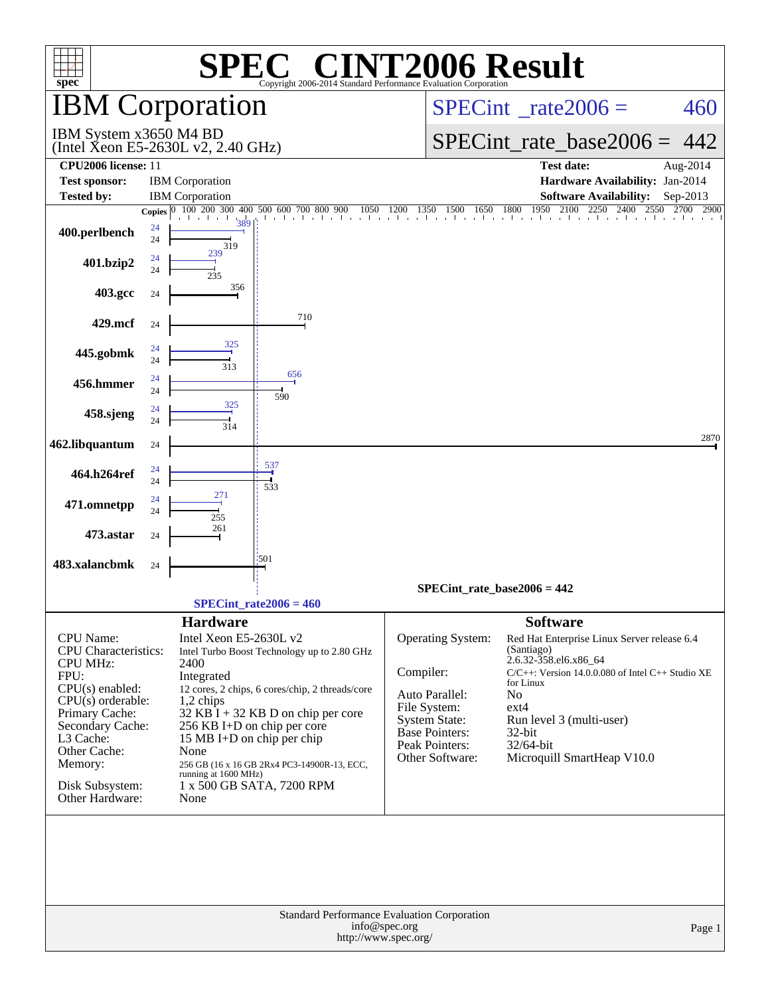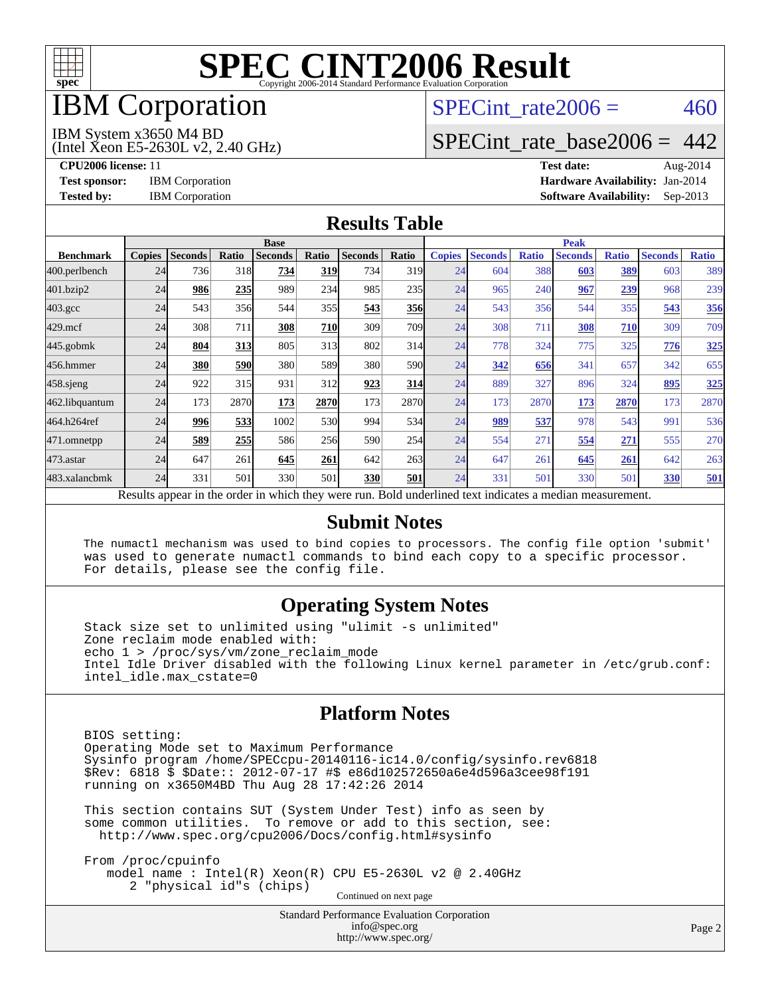

## IBM Corporation

## SPECint rate $2006 = 460$

#### IBM System x3650 M4 BD

(Intel Xeon E5-2630L v2, 2.40 GHz)

[SPECint\\_rate\\_base2006 =](http://www.spec.org/auto/cpu2006/Docs/result-fields.html#SPECintratebase2006) 442

**[CPU2006 license:](http://www.spec.org/auto/cpu2006/Docs/result-fields.html#CPU2006license)** 11 **[Test date:](http://www.spec.org/auto/cpu2006/Docs/result-fields.html#Testdate)** Aug-2014 **[Test sponsor:](http://www.spec.org/auto/cpu2006/Docs/result-fields.html#Testsponsor)** IBM Corporation **[Hardware Availability:](http://www.spec.org/auto/cpu2006/Docs/result-fields.html#HardwareAvailability)** Jan-2014 **[Tested by:](http://www.spec.org/auto/cpu2006/Docs/result-fields.html#Testedby)** IBM Corporation **[Software Availability:](http://www.spec.org/auto/cpu2006/Docs/result-fields.html#SoftwareAvailability)** Sep-2013

#### **[Results Table](http://www.spec.org/auto/cpu2006/Docs/result-fields.html#ResultsTable)**

|                    | <b>Base</b>   |                |       |                |            |                                                                                                          |       | <b>Peak</b>   |                |              |                |              |                |              |
|--------------------|---------------|----------------|-------|----------------|------------|----------------------------------------------------------------------------------------------------------|-------|---------------|----------------|--------------|----------------|--------------|----------------|--------------|
| <b>Benchmark</b>   | <b>Copies</b> | <b>Seconds</b> | Ratio | <b>Seconds</b> | Ratio      | <b>Seconds</b>                                                                                           | Ratio | <b>Copies</b> | <b>Seconds</b> | <b>Ratio</b> | <b>Seconds</b> | <b>Ratio</b> | <b>Seconds</b> | <b>Ratio</b> |
| 400.perlbench      | 24            | 736            | 318   | 734            | 319        | 734                                                                                                      | 319   | 24            | 604            | 388          | 603            | 389          | 603            | 389          |
| 401.bzip2          | 24            | 986            | 235   | 989            | 234        | 985                                                                                                      | 235   | 24            | 965            | 240          | 967            | 239          | 968            | 239          |
| $403.\mathrm{gcc}$ | 24            | 543            | 356   | 544            | 355        | 543                                                                                                      | 356   | 24            | 543            | 356          | 544            | 355          | 543            | 356          |
| $429$ .mcf         | 24            | 308            | 711   | 308            | <b>710</b> | 309                                                                                                      | 709   | 24            | 308            | 711          | 308            | 710          | 309            | 709          |
| $445$ .gobmk       | 24            | 804            | 313   | 805            | 313        | 802                                                                                                      | 314   | 24            | 778            | 324          | 775            | 325          | 776            | 325          |
| 456.hmmer          | 24            | 380            | 590   | 380            | 589I       | 380                                                                                                      | 590   | 24            | 342            | 656          | 341            | 657          | 342            | 655          |
| $458$ .sjeng       | 24            | 922            | 315   | 931            | 312        | 923                                                                                                      | 314   | 24            | 889            | 327          | 896            | 324          | 895            | 325          |
| 462.libquantum     | 24            | 173            | 2870  | 173            | 2870       | 173                                                                                                      | 2870  | 24            | 173            | 2870         | 173            | 2870         | 173            | 2870         |
| 464.h264ref        | 24            | 996            | 533   | 1002           | <b>530</b> | 994                                                                                                      | 534   | 24            | 989            | 537          | 978            | 543          | 991            | 536          |
| 471.omnetpp        | 24            | 589            | 255   | 586            | 256        | 590                                                                                                      | 254   | 24            | 554            | 271          | 554            | 271          | 555            | 270          |
| $473$ . astar      | 24            | 647            | 261   | 645            | 261        | 642                                                                                                      | 263   | 24            | 647            | 261          | 645            | 261          | 642            | 263          |
| 483.xalancbmk      | 24            | 331            | 501   | 330            | 501        | 330                                                                                                      | 501   | 24            | 331            | 501          | 330            | 501          | 330            | 501          |
|                    |               |                |       |                |            | Results appear in the order in which they were run. Bold underlined text indicates a median measurement. |       |               |                |              |                |              |                |              |

#### **[Submit Notes](http://www.spec.org/auto/cpu2006/Docs/result-fields.html#SubmitNotes)**

 The numactl mechanism was used to bind copies to processors. The config file option 'submit' was used to generate numactl commands to bind each copy to a specific processor. For details, please see the config file.

### **[Operating System Notes](http://www.spec.org/auto/cpu2006/Docs/result-fields.html#OperatingSystemNotes)**

 Stack size set to unlimited using "ulimit -s unlimited" Zone reclaim mode enabled with: echo 1 > /proc/sys/vm/zone\_reclaim\_mode Intel Idle Driver disabled with the following Linux kernel parameter in /etc/grub.conf: intel\_idle.max\_cstate=0

#### **[Platform Notes](http://www.spec.org/auto/cpu2006/Docs/result-fields.html#PlatformNotes)**

 BIOS setting: Operating Mode set to Maximum Performance Sysinfo program /home/SPECcpu-20140116-ic14.0/config/sysinfo.rev6818 \$Rev: 6818 \$ \$Date:: 2012-07-17 #\$ e86d102572650a6e4d596a3cee98f191 running on x3650M4BD Thu Aug 28 17:42:26 2014

 This section contains SUT (System Under Test) info as seen by some common utilities. To remove or add to this section, see: <http://www.spec.org/cpu2006/Docs/config.html#sysinfo>

 From /proc/cpuinfo model name : Intel(R) Xeon(R) CPU E5-2630L v2 @ 2.40GHz 2 "physical id"s (chips) Continued on next page

> Standard Performance Evaluation Corporation [info@spec.org](mailto:info@spec.org) <http://www.spec.org/>

Page 2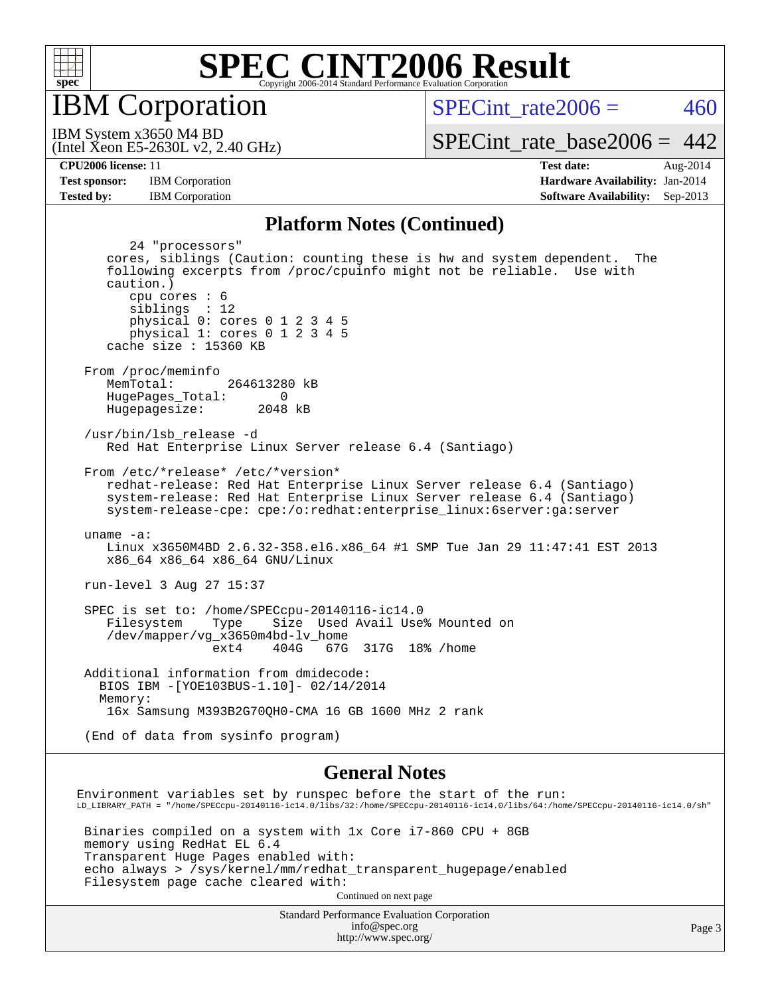

IBM Corporation

SPECint rate $2006 = 460$ 

(Intel Xeon E5-2630L v2, 2.40 GHz) IBM System x3650 M4 BD

[SPECint\\_rate\\_base2006 =](http://www.spec.org/auto/cpu2006/Docs/result-fields.html#SPECintratebase2006)  $442$ 

**[CPU2006 license:](http://www.spec.org/auto/cpu2006/Docs/result-fields.html#CPU2006license)** 11 **[Test date:](http://www.spec.org/auto/cpu2006/Docs/result-fields.html#Testdate)** Aug-2014 **[Test sponsor:](http://www.spec.org/auto/cpu2006/Docs/result-fields.html#Testsponsor)** IBM Corporation **[Hardware Availability:](http://www.spec.org/auto/cpu2006/Docs/result-fields.html#HardwareAvailability)** Jan-2014 **[Tested by:](http://www.spec.org/auto/cpu2006/Docs/result-fields.html#Testedby)** IBM Corporation **[Software Availability:](http://www.spec.org/auto/cpu2006/Docs/result-fields.html#SoftwareAvailability)** Sep-2013

#### **[Platform Notes \(Continued\)](http://www.spec.org/auto/cpu2006/Docs/result-fields.html#PlatformNotes)**

 24 "processors" cores, siblings (Caution: counting these is hw and system dependent. The following excerpts from /proc/cpuinfo might not be reliable. Use with caution.) cpu cores : 6 siblings : 12 physical 0: cores 0 1 2 3 4 5 physical 1: cores 0 1 2 3 4 5 cache size : 15360 KB From /proc/meminfo MemTotal: 264613280 kB HugePages\_Total: 0<br>Hugepagesize: 2048 kB Hugepagesize: /usr/bin/lsb\_release -d Red Hat Enterprise Linux Server release 6.4 (Santiago) From /etc/\*release\* /etc/\*version\* redhat-release: Red Hat Enterprise Linux Server release 6.4 (Santiago) system-release: Red Hat Enterprise Linux Server release 6.4 (Santiago) system-release-cpe: cpe:/o:redhat:enterprise\_linux:6server:ga:server uname -a: Linux x3650M4BD 2.6.32-358.el6.x86\_64 #1 SMP Tue Jan 29 11:47:41 EST 2013 x86\_64 x86\_64 x86\_64 GNU/Linux run-level 3 Aug 27 15:37 SPEC is set to: /home/SPECcpu-20140116-ic14.0 Filesystem Type Size Used Avail Use% Mounted on /dev/mapper/vg\_x3650m4bd-lv\_home ext4 404G 67G 317G 18% /home Additional information from dmidecode: BIOS IBM -[YOE103BUS-1.10]- 02/14/2014 Memory: 16x Samsung M393B2G70QH0-CMA 16 GB 1600 MHz 2 rank (End of data from sysinfo program) **[General Notes](http://www.spec.org/auto/cpu2006/Docs/result-fields.html#GeneralNotes)** Environment variables set by runspec before the start of the run: LD\_LIBRARY\_PATH = "/home/SPECcpu-20140116-ic14.0/libs/32:/home/SPECcpu-20140116-ic14.0/libs/64:/home/SPECcpu-20140116-ic14.0/sh" Binaries compiled on a system with 1x Core i7-860 CPU + 8GB memory using RedHat EL 6.4

 Transparent Huge Pages enabled with: echo always > /sys/kernel/mm/redhat\_transparent\_hugepage/enabled Filesystem page cache cleared with: Continued on next page

> Standard Performance Evaluation Corporation [info@spec.org](mailto:info@spec.org) <http://www.spec.org/>

Page 3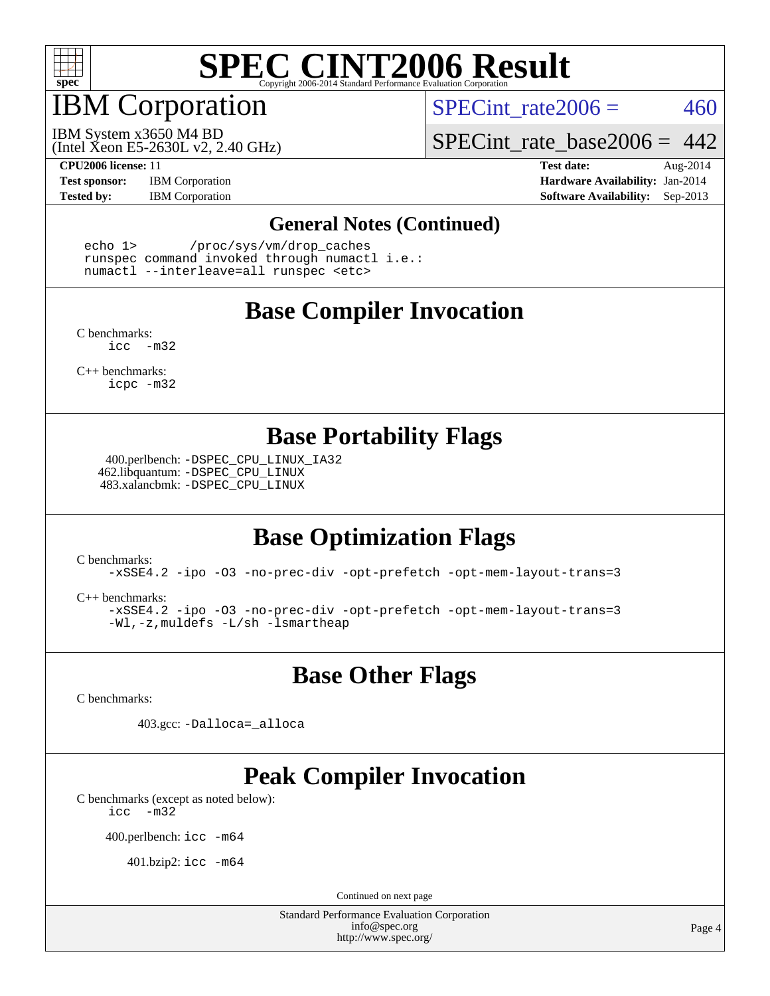

## IBM Corporation

SPECint rate $2006 = 460$ 

(Intel Xeon E5-2630L v2, 2.40 GHz) IBM System x3650 M4 BD

SPECint rate base2006 =  $442$ 

**[Test sponsor:](http://www.spec.org/auto/cpu2006/Docs/result-fields.html#Testsponsor)** IBM Corporation **[Hardware Availability:](http://www.spec.org/auto/cpu2006/Docs/result-fields.html#HardwareAvailability)** Jan-2014

**[CPU2006 license:](http://www.spec.org/auto/cpu2006/Docs/result-fields.html#CPU2006license)** 11 **[Test date:](http://www.spec.org/auto/cpu2006/Docs/result-fields.html#Testdate)** Aug-2014 **[Tested by:](http://www.spec.org/auto/cpu2006/Docs/result-fields.html#Testedby)** IBM Corporation **[Software Availability:](http://www.spec.org/auto/cpu2006/Docs/result-fields.html#SoftwareAvailability)** Sep-2013

#### **[General Notes \(Continued\)](http://www.spec.org/auto/cpu2006/Docs/result-fields.html#GeneralNotes)**

 echo 1> /proc/sys/vm/drop\_caches runspec command invoked through numactl i.e.: numactl --interleave=all runspec <etc>

### **[Base Compiler Invocation](http://www.spec.org/auto/cpu2006/Docs/result-fields.html#BaseCompilerInvocation)**

[C benchmarks](http://www.spec.org/auto/cpu2006/Docs/result-fields.html#Cbenchmarks): [icc -m32](http://www.spec.org/cpu2006/results/res2014q3/cpu2006-20140901-31137.flags.html#user_CCbase_intel_icc_5ff4a39e364c98233615fdd38438c6f2)

[C++ benchmarks:](http://www.spec.org/auto/cpu2006/Docs/result-fields.html#CXXbenchmarks) [icpc -m32](http://www.spec.org/cpu2006/results/res2014q3/cpu2006-20140901-31137.flags.html#user_CXXbase_intel_icpc_4e5a5ef1a53fd332b3c49e69c3330699)

### **[Base Portability Flags](http://www.spec.org/auto/cpu2006/Docs/result-fields.html#BasePortabilityFlags)**

 400.perlbench: [-DSPEC\\_CPU\\_LINUX\\_IA32](http://www.spec.org/cpu2006/results/res2014q3/cpu2006-20140901-31137.flags.html#b400.perlbench_baseCPORTABILITY_DSPEC_CPU_LINUX_IA32) 462.libquantum: [-DSPEC\\_CPU\\_LINUX](http://www.spec.org/cpu2006/results/res2014q3/cpu2006-20140901-31137.flags.html#b462.libquantum_baseCPORTABILITY_DSPEC_CPU_LINUX) 483.xalancbmk: [-DSPEC\\_CPU\\_LINUX](http://www.spec.org/cpu2006/results/res2014q3/cpu2006-20140901-31137.flags.html#b483.xalancbmk_baseCXXPORTABILITY_DSPEC_CPU_LINUX)

## **[Base Optimization Flags](http://www.spec.org/auto/cpu2006/Docs/result-fields.html#BaseOptimizationFlags)**

[C benchmarks](http://www.spec.org/auto/cpu2006/Docs/result-fields.html#Cbenchmarks):

[-xSSE4.2](http://www.spec.org/cpu2006/results/res2014q3/cpu2006-20140901-31137.flags.html#user_CCbase_f-xSSE42_f91528193cf0b216347adb8b939d4107) [-ipo](http://www.spec.org/cpu2006/results/res2014q3/cpu2006-20140901-31137.flags.html#user_CCbase_f-ipo) [-O3](http://www.spec.org/cpu2006/results/res2014q3/cpu2006-20140901-31137.flags.html#user_CCbase_f-O3) [-no-prec-div](http://www.spec.org/cpu2006/results/res2014q3/cpu2006-20140901-31137.flags.html#user_CCbase_f-no-prec-div) [-opt-prefetch](http://www.spec.org/cpu2006/results/res2014q3/cpu2006-20140901-31137.flags.html#user_CCbase_f-opt-prefetch) [-opt-mem-layout-trans=3](http://www.spec.org/cpu2006/results/res2014q3/cpu2006-20140901-31137.flags.html#user_CCbase_f-opt-mem-layout-trans_a7b82ad4bd7abf52556d4961a2ae94d5)

[C++ benchmarks:](http://www.spec.org/auto/cpu2006/Docs/result-fields.html#CXXbenchmarks)

[-xSSE4.2](http://www.spec.org/cpu2006/results/res2014q3/cpu2006-20140901-31137.flags.html#user_CXXbase_f-xSSE42_f91528193cf0b216347adb8b939d4107) [-ipo](http://www.spec.org/cpu2006/results/res2014q3/cpu2006-20140901-31137.flags.html#user_CXXbase_f-ipo) [-O3](http://www.spec.org/cpu2006/results/res2014q3/cpu2006-20140901-31137.flags.html#user_CXXbase_f-O3) [-no-prec-div](http://www.spec.org/cpu2006/results/res2014q3/cpu2006-20140901-31137.flags.html#user_CXXbase_f-no-prec-div) [-opt-prefetch](http://www.spec.org/cpu2006/results/res2014q3/cpu2006-20140901-31137.flags.html#user_CXXbase_f-opt-prefetch) [-opt-mem-layout-trans=3](http://www.spec.org/cpu2006/results/res2014q3/cpu2006-20140901-31137.flags.html#user_CXXbase_f-opt-mem-layout-trans_a7b82ad4bd7abf52556d4961a2ae94d5) [-Wl,-z,muldefs](http://www.spec.org/cpu2006/results/res2014q3/cpu2006-20140901-31137.flags.html#user_CXXbase_link_force_multiple1_74079c344b956b9658436fd1b6dd3a8a) [-L/sh -lsmartheap](http://www.spec.org/cpu2006/results/res2014q3/cpu2006-20140901-31137.flags.html#user_CXXbase_SmartHeap_32f6c82aa1ed9c52345d30cf6e4a0499)

**[Base Other Flags](http://www.spec.org/auto/cpu2006/Docs/result-fields.html#BaseOtherFlags)**

[C benchmarks](http://www.spec.org/auto/cpu2006/Docs/result-fields.html#Cbenchmarks):

403.gcc: [-Dalloca=\\_alloca](http://www.spec.org/cpu2006/results/res2014q3/cpu2006-20140901-31137.flags.html#b403.gcc_baseEXTRA_CFLAGS_Dalloca_be3056838c12de2578596ca5467af7f3)

## **[Peak Compiler Invocation](http://www.spec.org/auto/cpu2006/Docs/result-fields.html#PeakCompilerInvocation)**

[C benchmarks \(except as noted below\)](http://www.spec.org/auto/cpu2006/Docs/result-fields.html#Cbenchmarksexceptasnotedbelow): [icc -m32](http://www.spec.org/cpu2006/results/res2014q3/cpu2006-20140901-31137.flags.html#user_CCpeak_intel_icc_5ff4a39e364c98233615fdd38438c6f2)

400.perlbench: [icc -m64](http://www.spec.org/cpu2006/results/res2014q3/cpu2006-20140901-31137.flags.html#user_peakCCLD400_perlbench_intel_icc_64bit_bda6cc9af1fdbb0edc3795bac97ada53)

401.bzip2: [icc -m64](http://www.spec.org/cpu2006/results/res2014q3/cpu2006-20140901-31137.flags.html#user_peakCCLD401_bzip2_intel_icc_64bit_bda6cc9af1fdbb0edc3795bac97ada53)

Continued on next page

Standard Performance Evaluation Corporation [info@spec.org](mailto:info@spec.org) <http://www.spec.org/>

Page 4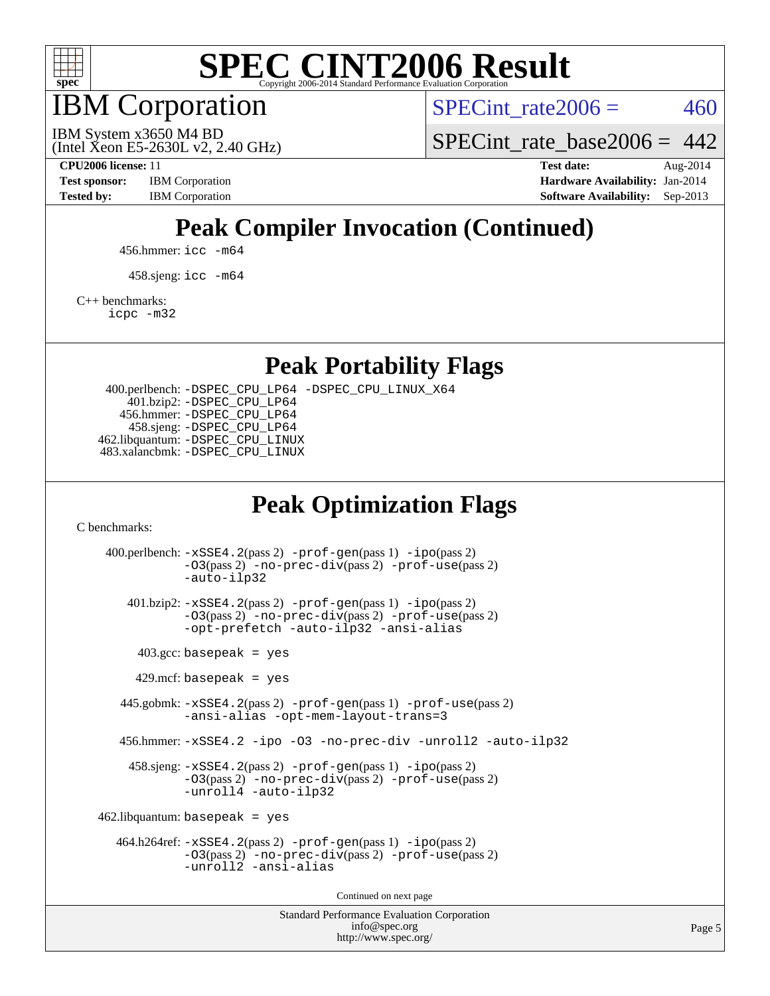

IBM Corporation

SPECint rate $2006 = 460$ 

(Intel Xeon E5-2630L v2, 2.40 GHz) IBM System x3650 M4 BD

SPECint rate base2006 =  $442$ 

**[CPU2006 license:](http://www.spec.org/auto/cpu2006/Docs/result-fields.html#CPU2006license)** 11 **[Test date:](http://www.spec.org/auto/cpu2006/Docs/result-fields.html#Testdate)** Aug-2014 **[Test sponsor:](http://www.spec.org/auto/cpu2006/Docs/result-fields.html#Testsponsor)** IBM Corporation **[Hardware Availability:](http://www.spec.org/auto/cpu2006/Docs/result-fields.html#HardwareAvailability)** Jan-2014 **[Tested by:](http://www.spec.org/auto/cpu2006/Docs/result-fields.html#Testedby)** IBM Corporation **[Software Availability:](http://www.spec.org/auto/cpu2006/Docs/result-fields.html#SoftwareAvailability)** Sep-2013

## **[Peak Compiler Invocation \(Continued\)](http://www.spec.org/auto/cpu2006/Docs/result-fields.html#PeakCompilerInvocation)**

456.hmmer: [icc -m64](http://www.spec.org/cpu2006/results/res2014q3/cpu2006-20140901-31137.flags.html#user_peakCCLD456_hmmer_intel_icc_64bit_bda6cc9af1fdbb0edc3795bac97ada53)

458.sjeng: [icc -m64](http://www.spec.org/cpu2006/results/res2014q3/cpu2006-20140901-31137.flags.html#user_peakCCLD458_sjeng_intel_icc_64bit_bda6cc9af1fdbb0edc3795bac97ada53)

[C++ benchmarks:](http://www.spec.org/auto/cpu2006/Docs/result-fields.html#CXXbenchmarks)

[icpc -m32](http://www.spec.org/cpu2006/results/res2014q3/cpu2006-20140901-31137.flags.html#user_CXXpeak_intel_icpc_4e5a5ef1a53fd332b3c49e69c3330699)

**[Peak Portability Flags](http://www.spec.org/auto/cpu2006/Docs/result-fields.html#PeakPortabilityFlags)**

 400.perlbench: [-DSPEC\\_CPU\\_LP64](http://www.spec.org/cpu2006/results/res2014q3/cpu2006-20140901-31137.flags.html#b400.perlbench_peakCPORTABILITY_DSPEC_CPU_LP64) [-DSPEC\\_CPU\\_LINUX\\_X64](http://www.spec.org/cpu2006/results/res2014q3/cpu2006-20140901-31137.flags.html#b400.perlbench_peakCPORTABILITY_DSPEC_CPU_LINUX_X64) 401.bzip2: [-DSPEC\\_CPU\\_LP64](http://www.spec.org/cpu2006/results/res2014q3/cpu2006-20140901-31137.flags.html#suite_peakCPORTABILITY401_bzip2_DSPEC_CPU_LP64) 456.hmmer: [-DSPEC\\_CPU\\_LP64](http://www.spec.org/cpu2006/results/res2014q3/cpu2006-20140901-31137.flags.html#suite_peakCPORTABILITY456_hmmer_DSPEC_CPU_LP64) 458.sjeng: [-DSPEC\\_CPU\\_LP64](http://www.spec.org/cpu2006/results/res2014q3/cpu2006-20140901-31137.flags.html#suite_peakCPORTABILITY458_sjeng_DSPEC_CPU_LP64) 462.libquantum: [-DSPEC\\_CPU\\_LINUX](http://www.spec.org/cpu2006/results/res2014q3/cpu2006-20140901-31137.flags.html#b462.libquantum_peakCPORTABILITY_DSPEC_CPU_LINUX) 483.xalancbmk: [-DSPEC\\_CPU\\_LINUX](http://www.spec.org/cpu2006/results/res2014q3/cpu2006-20140901-31137.flags.html#b483.xalancbmk_peakCXXPORTABILITY_DSPEC_CPU_LINUX)

## **[Peak Optimization Flags](http://www.spec.org/auto/cpu2006/Docs/result-fields.html#PeakOptimizationFlags)**

[C benchmarks](http://www.spec.org/auto/cpu2006/Docs/result-fields.html#Cbenchmarks):

Standard Performance Evaluation Corporation 400.perlbench: [-xSSE4.2](http://www.spec.org/cpu2006/results/res2014q3/cpu2006-20140901-31137.flags.html#user_peakPASS2_CFLAGSPASS2_LDCFLAGS400_perlbench_f-xSSE42_f91528193cf0b216347adb8b939d4107)(pass 2) [-prof-gen](http://www.spec.org/cpu2006/results/res2014q3/cpu2006-20140901-31137.flags.html#user_peakPASS1_CFLAGSPASS1_LDCFLAGS400_perlbench_prof_gen_e43856698f6ca7b7e442dfd80e94a8fc)(pass 1) [-ipo](http://www.spec.org/cpu2006/results/res2014q3/cpu2006-20140901-31137.flags.html#user_peakPASS2_CFLAGSPASS2_LDCFLAGS400_perlbench_f-ipo)(pass 2) [-O3](http://www.spec.org/cpu2006/results/res2014q3/cpu2006-20140901-31137.flags.html#user_peakPASS2_CFLAGSPASS2_LDCFLAGS400_perlbench_f-O3)(pass 2) [-no-prec-div](http://www.spec.org/cpu2006/results/res2014q3/cpu2006-20140901-31137.flags.html#user_peakPASS2_CFLAGSPASS2_LDCFLAGS400_perlbench_f-no-prec-div)(pass 2) [-prof-use](http://www.spec.org/cpu2006/results/res2014q3/cpu2006-20140901-31137.flags.html#user_peakPASS2_CFLAGSPASS2_LDCFLAGS400_perlbench_prof_use_bccf7792157ff70d64e32fe3e1250b55)(pass 2) [-auto-ilp32](http://www.spec.org/cpu2006/results/res2014q3/cpu2006-20140901-31137.flags.html#user_peakCOPTIMIZE400_perlbench_f-auto-ilp32) 401.bzip2: [-xSSE4.2](http://www.spec.org/cpu2006/results/res2014q3/cpu2006-20140901-31137.flags.html#user_peakPASS2_CFLAGSPASS2_LDCFLAGS401_bzip2_f-xSSE42_f91528193cf0b216347adb8b939d4107)(pass 2) [-prof-gen](http://www.spec.org/cpu2006/results/res2014q3/cpu2006-20140901-31137.flags.html#user_peakPASS1_CFLAGSPASS1_LDCFLAGS401_bzip2_prof_gen_e43856698f6ca7b7e442dfd80e94a8fc)(pass 1) [-ipo](http://www.spec.org/cpu2006/results/res2014q3/cpu2006-20140901-31137.flags.html#user_peakPASS2_CFLAGSPASS2_LDCFLAGS401_bzip2_f-ipo)(pass 2) [-O3](http://www.spec.org/cpu2006/results/res2014q3/cpu2006-20140901-31137.flags.html#user_peakPASS2_CFLAGSPASS2_LDCFLAGS401_bzip2_f-O3)(pass 2) [-no-prec-div](http://www.spec.org/cpu2006/results/res2014q3/cpu2006-20140901-31137.flags.html#user_peakPASS2_CFLAGSPASS2_LDCFLAGS401_bzip2_f-no-prec-div)(pass 2) [-prof-use](http://www.spec.org/cpu2006/results/res2014q3/cpu2006-20140901-31137.flags.html#user_peakPASS2_CFLAGSPASS2_LDCFLAGS401_bzip2_prof_use_bccf7792157ff70d64e32fe3e1250b55)(pass 2) [-opt-prefetch](http://www.spec.org/cpu2006/results/res2014q3/cpu2006-20140901-31137.flags.html#user_peakCOPTIMIZE401_bzip2_f-opt-prefetch) [-auto-ilp32](http://www.spec.org/cpu2006/results/res2014q3/cpu2006-20140901-31137.flags.html#user_peakCOPTIMIZE401_bzip2_f-auto-ilp32) [-ansi-alias](http://www.spec.org/cpu2006/results/res2014q3/cpu2006-20140901-31137.flags.html#user_peakCOPTIMIZE401_bzip2_f-ansi-alias)  $403.\text{gcc: basepeak}$  = yes  $429$ .mcf: basepeak = yes 445.gobmk: [-xSSE4.2](http://www.spec.org/cpu2006/results/res2014q3/cpu2006-20140901-31137.flags.html#user_peakPASS2_CFLAGSPASS2_LDCFLAGS445_gobmk_f-xSSE42_f91528193cf0b216347adb8b939d4107)(pass 2) [-prof-gen](http://www.spec.org/cpu2006/results/res2014q3/cpu2006-20140901-31137.flags.html#user_peakPASS1_CFLAGSPASS1_LDCFLAGS445_gobmk_prof_gen_e43856698f6ca7b7e442dfd80e94a8fc)(pass 1) [-prof-use](http://www.spec.org/cpu2006/results/res2014q3/cpu2006-20140901-31137.flags.html#user_peakPASS2_CFLAGSPASS2_LDCFLAGS445_gobmk_prof_use_bccf7792157ff70d64e32fe3e1250b55)(pass 2) [-ansi-alias](http://www.spec.org/cpu2006/results/res2014q3/cpu2006-20140901-31137.flags.html#user_peakCOPTIMIZE445_gobmk_f-ansi-alias) [-opt-mem-layout-trans=3](http://www.spec.org/cpu2006/results/res2014q3/cpu2006-20140901-31137.flags.html#user_peakCOPTIMIZE445_gobmk_f-opt-mem-layout-trans_a7b82ad4bd7abf52556d4961a2ae94d5) 456.hmmer: [-xSSE4.2](http://www.spec.org/cpu2006/results/res2014q3/cpu2006-20140901-31137.flags.html#user_peakCOPTIMIZE456_hmmer_f-xSSE42_f91528193cf0b216347adb8b939d4107) [-ipo](http://www.spec.org/cpu2006/results/res2014q3/cpu2006-20140901-31137.flags.html#user_peakCOPTIMIZE456_hmmer_f-ipo) [-O3](http://www.spec.org/cpu2006/results/res2014q3/cpu2006-20140901-31137.flags.html#user_peakCOPTIMIZE456_hmmer_f-O3) [-no-prec-div](http://www.spec.org/cpu2006/results/res2014q3/cpu2006-20140901-31137.flags.html#user_peakCOPTIMIZE456_hmmer_f-no-prec-div) [-unroll2](http://www.spec.org/cpu2006/results/res2014q3/cpu2006-20140901-31137.flags.html#user_peakCOPTIMIZE456_hmmer_f-unroll_784dae83bebfb236979b41d2422d7ec2) [-auto-ilp32](http://www.spec.org/cpu2006/results/res2014q3/cpu2006-20140901-31137.flags.html#user_peakCOPTIMIZE456_hmmer_f-auto-ilp32) 458.sjeng: [-xSSE4.2](http://www.spec.org/cpu2006/results/res2014q3/cpu2006-20140901-31137.flags.html#user_peakPASS2_CFLAGSPASS2_LDCFLAGS458_sjeng_f-xSSE42_f91528193cf0b216347adb8b939d4107)(pass 2) [-prof-gen](http://www.spec.org/cpu2006/results/res2014q3/cpu2006-20140901-31137.flags.html#user_peakPASS1_CFLAGSPASS1_LDCFLAGS458_sjeng_prof_gen_e43856698f6ca7b7e442dfd80e94a8fc)(pass 1) [-ipo](http://www.spec.org/cpu2006/results/res2014q3/cpu2006-20140901-31137.flags.html#user_peakPASS2_CFLAGSPASS2_LDCFLAGS458_sjeng_f-ipo)(pass 2) [-O3](http://www.spec.org/cpu2006/results/res2014q3/cpu2006-20140901-31137.flags.html#user_peakPASS2_CFLAGSPASS2_LDCFLAGS458_sjeng_f-O3)(pass 2) [-no-prec-div](http://www.spec.org/cpu2006/results/res2014q3/cpu2006-20140901-31137.flags.html#user_peakPASS2_CFLAGSPASS2_LDCFLAGS458_sjeng_f-no-prec-div)(pass 2) [-prof-use](http://www.spec.org/cpu2006/results/res2014q3/cpu2006-20140901-31137.flags.html#user_peakPASS2_CFLAGSPASS2_LDCFLAGS458_sjeng_prof_use_bccf7792157ff70d64e32fe3e1250b55)(pass 2) [-unroll4](http://www.spec.org/cpu2006/results/res2014q3/cpu2006-20140901-31137.flags.html#user_peakCOPTIMIZE458_sjeng_f-unroll_4e5e4ed65b7fd20bdcd365bec371b81f) [-auto-ilp32](http://www.spec.org/cpu2006/results/res2014q3/cpu2006-20140901-31137.flags.html#user_peakCOPTIMIZE458_sjeng_f-auto-ilp32)  $462$ .libquantum: basepeak = yes 464.h264ref: [-xSSE4.2](http://www.spec.org/cpu2006/results/res2014q3/cpu2006-20140901-31137.flags.html#user_peakPASS2_CFLAGSPASS2_LDCFLAGS464_h264ref_f-xSSE42_f91528193cf0b216347adb8b939d4107)(pass 2) [-prof-gen](http://www.spec.org/cpu2006/results/res2014q3/cpu2006-20140901-31137.flags.html#user_peakPASS1_CFLAGSPASS1_LDCFLAGS464_h264ref_prof_gen_e43856698f6ca7b7e442dfd80e94a8fc)(pass 1) [-ipo](http://www.spec.org/cpu2006/results/res2014q3/cpu2006-20140901-31137.flags.html#user_peakPASS2_CFLAGSPASS2_LDCFLAGS464_h264ref_f-ipo)(pass 2) [-O3](http://www.spec.org/cpu2006/results/res2014q3/cpu2006-20140901-31137.flags.html#user_peakPASS2_CFLAGSPASS2_LDCFLAGS464_h264ref_f-O3)(pass 2) [-no-prec-div](http://www.spec.org/cpu2006/results/res2014q3/cpu2006-20140901-31137.flags.html#user_peakPASS2_CFLAGSPASS2_LDCFLAGS464_h264ref_f-no-prec-div)(pass 2) [-prof-use](http://www.spec.org/cpu2006/results/res2014q3/cpu2006-20140901-31137.flags.html#user_peakPASS2_CFLAGSPASS2_LDCFLAGS464_h264ref_prof_use_bccf7792157ff70d64e32fe3e1250b55)(pass 2) [-unroll2](http://www.spec.org/cpu2006/results/res2014q3/cpu2006-20140901-31137.flags.html#user_peakCOPTIMIZE464_h264ref_f-unroll_784dae83bebfb236979b41d2422d7ec2) [-ansi-alias](http://www.spec.org/cpu2006/results/res2014q3/cpu2006-20140901-31137.flags.html#user_peakCOPTIMIZE464_h264ref_f-ansi-alias) Continued on next page

[info@spec.org](mailto:info@spec.org) <http://www.spec.org/>